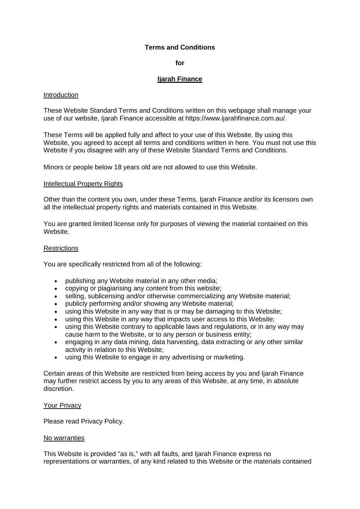# **Terms and Conditions**

## **for**

# **Ijarah Finance**

#### Introduction

These Website Standard Terms and Conditions written on this webpage shall manage your use of our website, Ijarah Finance accessible at https://www.ijarahfinance.com.au/.

These Terms will be applied fully and affect to your use of this Website. By using this Website, you agreed to accept all terms and conditions written in here. You must not use this Website if you disagree with any of these Website Standard Terms and Conditions.

Minors or people below 18 years old are not allowed to use this Website.

#### Intellectual Property Rights

Other than the content you own, under these Terms, Ijarah Finance and/or its licensors own all the intellectual property rights and materials contained in this Website.

You are granted limited license only for purposes of viewing the material contained on this Website.

#### **Restrictions**

You are specifically restricted from all of the following:

- publishing any Website material in any other media;
- copying or plagiarising any content from this website;
- selling, sublicensing and/or otherwise commercializing any Website material;
- publicly performing and/or showing any Website material;
- using this Website in any way that is or may be damaging to this Website;
- using this Website in any way that impacts user access to this Website;
- using this Website contrary to applicable laws and regulations, or in any way may cause harm to the Website, or to any person or business entity;
- engaging in any data mining, data harvesting, data extracting or any other similar activity in relation to this Website;
- using this Website to engage in any advertising or marketing.

Certain areas of this Website are restricted from being access by you and Ijarah Finance may further restrict access by you to any areas of this Website, at any time, in absolute discretion.

#### Your Privacy

Please read Privacy Policy.

#### No warranties

This Website is provided "as is," with all faults, and Ijarah Finance express no representations or warranties, of any kind related to this Website or the materials contained